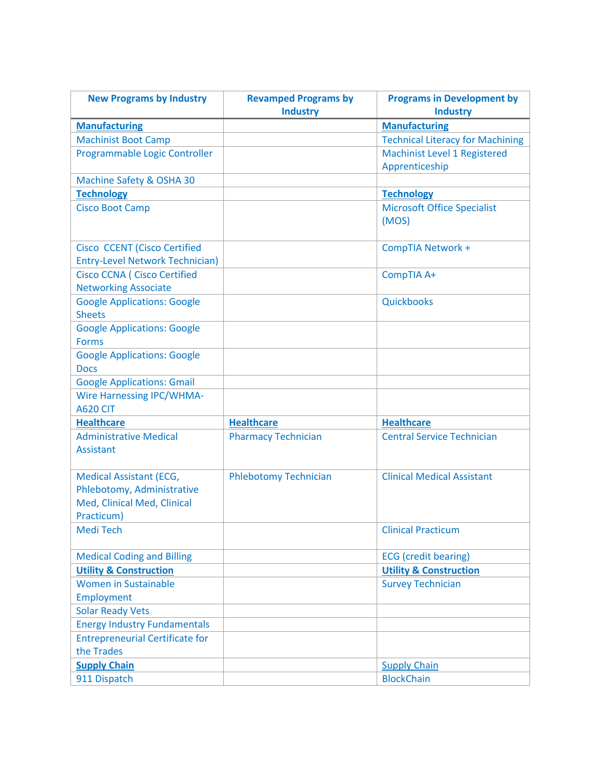| <b>Manufacturing</b><br><b>Manufacturing</b><br><b>Technical Literacy for Machining</b><br><b>Machinist Boot Camp</b><br>Programmable Logic Controller<br><b>Machinist Level 1 Registered</b><br>Apprenticeship<br>Machine Safety & OSHA 30<br><b>Technology</b><br><b>Technology</b><br><b>Cisco Boot Camp</b><br><b>Microsoft Office Specialist</b><br>(MOS) | <b>New Programs by Industry</b> | <b>Revamped Programs by</b> | <b>Programs in Development by</b> |
|----------------------------------------------------------------------------------------------------------------------------------------------------------------------------------------------------------------------------------------------------------------------------------------------------------------------------------------------------------------|---------------------------------|-----------------------------|-----------------------------------|
|                                                                                                                                                                                                                                                                                                                                                                |                                 | <b>Industry</b>             | <b>Industry</b>                   |
|                                                                                                                                                                                                                                                                                                                                                                |                                 |                             |                                   |
|                                                                                                                                                                                                                                                                                                                                                                |                                 |                             |                                   |
|                                                                                                                                                                                                                                                                                                                                                                |                                 |                             |                                   |
|                                                                                                                                                                                                                                                                                                                                                                |                                 |                             |                                   |
|                                                                                                                                                                                                                                                                                                                                                                |                                 |                             |                                   |
|                                                                                                                                                                                                                                                                                                                                                                |                                 |                             |                                   |
|                                                                                                                                                                                                                                                                                                                                                                |                                 |                             |                                   |
|                                                                                                                                                                                                                                                                                                                                                                |                                 |                             |                                   |
|                                                                                                                                                                                                                                                                                                                                                                |                                 |                             |                                   |
| <b>Cisco CCENT (Cisco Certified</b><br><b>CompTIA Network +</b>                                                                                                                                                                                                                                                                                                |                                 |                             |                                   |
| <b>Entry-Level Network Technician)</b>                                                                                                                                                                                                                                                                                                                         |                                 |                             |                                   |
| <b>Cisco CCNA ( Cisco Certified</b><br>CompTIA A+                                                                                                                                                                                                                                                                                                              |                                 |                             |                                   |
| <b>Networking Associate</b><br><b>Google Applications: Google</b><br>Quickbooks                                                                                                                                                                                                                                                                                |                                 |                             |                                   |
| <b>Sheets</b>                                                                                                                                                                                                                                                                                                                                                  |                                 |                             |                                   |
| <b>Google Applications: Google</b>                                                                                                                                                                                                                                                                                                                             |                                 |                             |                                   |
| <b>Forms</b>                                                                                                                                                                                                                                                                                                                                                   |                                 |                             |                                   |
| <b>Google Applications: Google</b>                                                                                                                                                                                                                                                                                                                             |                                 |                             |                                   |
| <b>Docs</b>                                                                                                                                                                                                                                                                                                                                                    |                                 |                             |                                   |
| <b>Google Applications: Gmail</b>                                                                                                                                                                                                                                                                                                                              |                                 |                             |                                   |
| <b>Wire Harnessing IPC/WHMA-</b>                                                                                                                                                                                                                                                                                                                               |                                 |                             |                                   |
| <b>A620 CIT</b>                                                                                                                                                                                                                                                                                                                                                |                                 |                             |                                   |
| <b>Healthcare</b><br><b>Healthcare</b><br><b>Healthcare</b>                                                                                                                                                                                                                                                                                                    |                                 |                             |                                   |
| <b>Administrative Medical</b><br><b>Pharmacy Technician</b><br><b>Central Service Technician</b>                                                                                                                                                                                                                                                               |                                 |                             |                                   |
| <b>Assistant</b>                                                                                                                                                                                                                                                                                                                                               |                                 |                             |                                   |
|                                                                                                                                                                                                                                                                                                                                                                |                                 |                             |                                   |
| <b>Clinical Medical Assistant</b><br><b>Medical Assistant (ECG,</b><br><b>Phlebotomy Technician</b>                                                                                                                                                                                                                                                            |                                 |                             |                                   |
| Phlebotomy, Administrative                                                                                                                                                                                                                                                                                                                                     |                                 |                             |                                   |
| Med, Clinical Med, Clinical                                                                                                                                                                                                                                                                                                                                    |                                 |                             |                                   |
| Practicum)                                                                                                                                                                                                                                                                                                                                                     |                                 |                             |                                   |
| Medi Tech<br><b>Clinical Practicum</b>                                                                                                                                                                                                                                                                                                                         |                                 |                             |                                   |
|                                                                                                                                                                                                                                                                                                                                                                |                                 |                             |                                   |
| <b>ECG</b> (credit bearing)<br><b>Medical Coding and Billing</b>                                                                                                                                                                                                                                                                                               |                                 |                             |                                   |
| <b>Utility &amp; Construction</b><br><b>Utility &amp; Construction</b><br><b>Women in Sustainable</b>                                                                                                                                                                                                                                                          |                                 |                             |                                   |
| <b>Survey Technician</b>                                                                                                                                                                                                                                                                                                                                       |                                 |                             |                                   |
| Employment                                                                                                                                                                                                                                                                                                                                                     |                                 |                             |                                   |
| <b>Solar Ready Vets</b>                                                                                                                                                                                                                                                                                                                                        |                                 |                             |                                   |
| <b>Energy Industry Fundamentals</b><br><b>Entrepreneurial Certificate for</b>                                                                                                                                                                                                                                                                                  |                                 |                             |                                   |
| the Trades                                                                                                                                                                                                                                                                                                                                                     |                                 |                             |                                   |
| <b>Supply Chain</b><br><b>Supply Chain</b>                                                                                                                                                                                                                                                                                                                     |                                 |                             |                                   |
| 911 Dispatch<br><b>BlockChain</b>                                                                                                                                                                                                                                                                                                                              |                                 |                             |                                   |